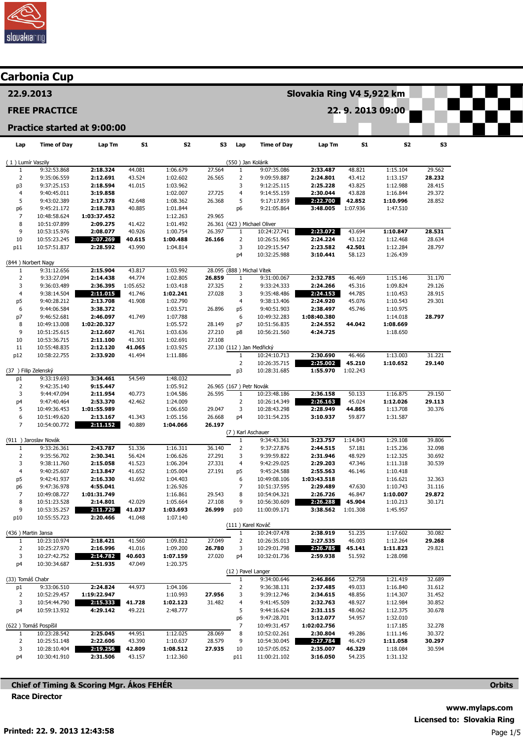

|                                | Carbonia Cup                 |                                    |                  |                      |                  |                         |                              |                           |                  |                      |                  |  |
|--------------------------------|------------------------------|------------------------------------|------------------|----------------------|------------------|-------------------------|------------------------------|---------------------------|------------------|----------------------|------------------|--|
| 22.9.2013                      |                              |                                    |                  |                      |                  |                         |                              | Slovakia Ring V4 5,922 km |                  |                      |                  |  |
|                                | <b>FREE PRACTICE</b>         |                                    |                  |                      |                  |                         |                              |                           |                  | 22.9.2013 09:00      |                  |  |
|                                |                              | <b>Practice started at 9:00:00</b> |                  |                      |                  |                         |                              |                           |                  |                      |                  |  |
| Lap                            | <b>Time of Day</b>           | Lap Tm                             | <b>S1</b>        | S <sub>2</sub>       | S3               | Lap                     | <b>Time of Day</b>           | Lap Tm                    | <b>S1</b>        | S2                   | S3               |  |
| (1) Lumír Vaszily              |                              |                                    |                  |                      |                  | (550) Jan Kolárik       |                              |                           |                  |                      |                  |  |
| 1                              | 9:32:53.868                  | 2:18.324                           | 44.081           | 1:06.679             | 27.564           | $\mathbf{1}$            | 9:07:35.086                  | 2:33.487                  | 48.821           | 1:15.104             | 29.562           |  |
| $\overline{2}$                 | 9:35:06.559<br>9:37:25.153   | 2:12.691<br>2:18.594               | 43.524           | 1:02.602             | 26.565           | $\overline{2}$<br>3     | 9:09:59.887                  | 2:24.801<br>2:25.228      | 43.412           | 1:13.157             | 28.232           |  |
| p3<br>$\overline{4}$           | 9:40:45.011                  | 3:19.858                           | 41.015           | 1:03.962<br>1:02.007 | 27.725           | 4                       | 9:12:25.115<br>9:14:55.159   | 2:30.044                  | 43.825<br>43.828 | 1:12.988<br>1:16.844 | 28.415<br>29.372 |  |
| 5                              | 9:43:02.389                  | 2:17.378                           | 42.648           | 1:08.362             | 26.368           | 5                       | 9:17:17.859                  | 2:22.700                  | 42.852           | 1:10.996             | 28.852           |  |
| p <sub>6</sub>                 | 9:45:21.172                  | 2:18.783                           | 40.885           | 1:01.844             |                  | p <sub>6</sub>          | 9:21:05.864                  | 3:48.005                  | 1:07.936         | 1:47.510             |                  |  |
| $\overline{7}$                 | 10:48:58.624                 | 1:03:37.452                        |                  | 1:12.263             | 29.965           |                         |                              |                           |                  |                      |                  |  |
| 8                              | 10:51:07.899                 | 2:09.275                           | 41.422           | 1:01.492             |                  |                         | 26.361 (423) Michael Oliver  |                           |                  |                      |                  |  |
| 9                              | 10:53:15.976                 | 2:08.077                           | 40.926           | 1:00.754             | 26.397           | $\mathbf{1}$            | 10:24:27.741                 | 2:23.072                  | 43.694           | 1:10.847             | 28.531           |  |
| 10                             | 10:55:23.245                 | 2:07.269                           | 40.615           | 1:00.488             | 26.166           | $\overline{2}$          | 10:26:51.965                 | 2:24.224<br>2:23.582      | 43.122           | 1:12.468             | 28.634           |  |
| p11                            | 10:57:51.837                 | 2:28.592                           | 43.990           | 1:04.814             |                  | 3<br>p4                 | 10:29:15.547<br>10:32:25.988 | 3:10.441                  | 42.501<br>58.123 | 1:12.284<br>1:26.439 | 28.797           |  |
| (844) Norbert Nagy             |                              |                                    |                  |                      |                  |                         |                              |                           |                  |                      |                  |  |
| 1                              | 9:31:12.656                  | 2:15.904                           | 43.817           | 1:03.992             |                  |                         | 28.095 (888) Michal Vítek    |                           |                  |                      |                  |  |
| $\overline{2}$                 | 9:33:27.094                  | 2:14.438                           | 44.774           | 1:02.805             | 26.859           | $\mathbf{1}$            | 9:31:00.067                  | 2:32.785                  | 46.469           | 1:15.146             | 31.170           |  |
| 3                              | 9:36:03.489                  | 2:36.395                           | 1:05.652         | 1:03.418             | 27.325           | $\overline{2}$          | 9:33:24.333                  | 2:24.266                  | 45.316           | 1:09.824             | 29.126           |  |
| $\overline{4}$                 | 9:38:14.504                  | 2:11.015                           | 41.746           | 1:02.241             | 27.028           | 3                       | 9:35:48.486                  | 2:24.153                  | 44.785           | 1:10.453             | 28.915           |  |
| p5                             | 9:40:28.212                  | 2:13.708                           | 41.908           | 1:02.790             |                  | 4                       | 9:38:13.406                  | 2:24.920                  | 45.076           | 1:10.543             | 29.301           |  |
| 6                              | 9:44:06.584<br>9:46:52.681   | 3:38.372<br>2:46.097               | 41.749           | 1:03.571<br>1:07.788 | 26.896           | p5<br>6                 | 9:40:51.903<br>10:49:32.283  | 2:38.497<br>1:08:40.380   | 45.746           | 1:10.975<br>1:14.018 | 28.797           |  |
| p7<br>8                        | 10:49:13.008                 | 1:02:20.327                        |                  | 1:05.572             | 28.149           | p7                      | 10:51:56.835                 | 2:24.552                  | 44.042           | 1:08.669             |                  |  |
| 9                              | 10:51:25.615                 | 2:12.607                           | 41.761           | 1:03.636             | 27.210           | p8                      | 10:56:21.560                 | 4:24.725                  |                  | 1:18.650             |                  |  |
| 10                             | 10:53:36.715                 | 2:11.100                           | 41.301           | 1:02.691             | 27.108           |                         |                              |                           |                  |                      |                  |  |
| 11                             | 10:55:48.835                 | 2:12.120                           | 41.065           | 1:03.925             |                  |                         | 27.130 (112) Jan Medřický    |                           |                  |                      |                  |  |
| p12                            | 10:58:22.755                 | 2:33.920                           | 41.494           | 1:11.886             |                  | 1                       | 10:24:10.713                 | 2:30.690                  | 46.466           | 1:13.003             | 31.221           |  |
|                                |                              |                                    |                  |                      |                  | $\overline{2}$          | 10:26:35.715                 | 2:25.002                  | 45.210           | 1:10.652             | 29.140           |  |
| (37) Filip Zelenský            |                              |                                    |                  |                      |                  | p3                      | 10:28:31.685                 | 1:55.970                  | 1:02.243         |                      |                  |  |
| p1<br>$\overline{2}$           | 9:33:19.693<br>9:42:35.140   | 3:34.461<br>9:15.447               | 54.549           | 1:48.032<br>1:05.912 |                  |                         | 26.965 (167) Petr Novák      |                           |                  |                      |                  |  |
| 3                              | 9:44:47.094                  | 2:11.954                           | 40.773           | 1:04.586             | 26.595           | $\mathbf{1}$            | 10:23:48.186                 | 2:36.158                  | 50.133           | 1:16.875             | 29.150           |  |
| p4                             | 9:47:40.464                  | 2:53.370                           | 42.462           | 1:24.009             |                  | $\overline{2}$          | 10:26:14.349                 | 2:26.163                  | 45.024           | 1:12.026             | 29.113           |  |
| 5                              | 10:49:36.453                 | 1:01:55.989                        |                  | 1:06.650             | 29.047           | 3                       | 10:28:43.298                 | 2:28.949                  | 44.865           | 1:13.708             | 30.376           |  |
| 6                              | 10:51:49.620                 | 2:13.167                           | 41.343           | 1:05.156             | 26.668           | p4                      | 10:31:54.235                 | 3:10.937                  | 59.877           | 1:31.587             |                  |  |
| $\overline{7}$                 | 10:54:00.772                 | 2:11.152                           | 40.889           | 1:04.066             | 26.197           |                         |                              |                           |                  |                      |                  |  |
|                                |                              |                                    |                  |                      |                  |                         | (7) Karl Aschauer            |                           |                  |                      |                  |  |
|                                | (911) Jaroslav Novák         |                                    |                  |                      |                  | 1                       | 9:34:43.361                  | 3:23.757                  | 1:14.843         | 1:29.108             | 39.806           |  |
| $\mathbf{1}$<br>$\overline{2}$ | 9:33:26.361<br>9:35:56.702   | 2:43.787<br>2:30.341               | 51.336<br>56.424 | 1:16.311<br>1:06.626 | 36.140<br>27.291 | $\overline{2}$<br>3     | 9:37:27.876<br>9:39:59.822   | 2:44.515<br>2:31.946      | 57.181<br>48.929 | 1:15.236<br>1:12.325 | 32.098<br>30.692 |  |
| 3                              | 9:38:11.760                  | 2:15.058                           | 41.523           | 1:06.204             | 27.331           | $\overline{4}$          | 9:42:29.025                  | 2:29.203                  | 47.346           | 1:11.318             | 30.539           |  |
| $\overline{a}$                 | 9:40:25.607                  | 2:13.847                           | 41.652           | 1:05.004             | 27.191           | p5                      | 9:45:24.588                  | 2:55.563                  | 46.146           | 1:10.418             |                  |  |
| p5                             | 9:42:41.937                  | 2:16.330                           | 41.692           | 1:04.403             |                  | 6                       | 10:49:08.106                 | 1:03:43.518               |                  | 1:16.621             | 32.363           |  |
| p6                             | 9:47:36.978                  | 4:55.041                           |                  | 1:26.926             |                  | $\overline{7}$          | 10:51:37.595                 | 2:29.489                  | 47.630           | 1:10.743             | 31.116           |  |
| $\overline{7}$                 | 10:49:08.727                 | 1:01:31.749                        |                  | 1:16.861             | 29.543           | 8                       | 10:54:04.321                 | 2:26.726                  | 46.847           | 1:10.007             | 29.872           |  |
| 8                              | 10:51:23.528                 | 2:14.801                           | 42.029           | 1:05.664             | 27.108           | 9                       | 10:56:30.609                 | 2:26.288                  | 45.904           | 1:10.213             | 30.171           |  |
| 9<br>p10                       | 10:53:35.257<br>10:55:55.723 | 2:11.729<br>2:20.466               | 41.037<br>41.048 | 1:03.693<br>1:07.140 | 26.999           | p10                     | 11:00:09.171                 | 3:38.562                  | 1:01.308         | 1:45.957             |                  |  |
|                                |                              |                                    |                  |                      |                  |                         | (111) Karel Kováč            |                           |                  |                      |                  |  |
| (436) Martin Jansa             |                              |                                    |                  |                      |                  | $\mathbf{1}$            | 10:24:07.478                 | 2:38.919                  | 51.235           | 1:17.602             | 30.082           |  |
| 1                              | 10:23:10.974                 | 2:18.421                           | 41.560           | 1:09.812             | 27.049           | $\overline{2}$          | 10:26:35.013                 | 2:27.535                  | 46.003           | 1:12.264             | 29.268           |  |
| $\overline{2}$                 | 10:25:27.970                 | 2:16.996                           | 41.016           | 1:09.200             | 26.780           | 3                       | 10:29:01.798                 | 2:26.785                  | 45.141           | 1:11.823             | 29.821           |  |
| 3                              | 10:27:42.752                 | 2:14.782                           | 40.603           | 1:07.159             | 27.020           | p4                      | 10:32:01.736                 | 2:59.938                  | 51.592           | 1:28.098             |                  |  |
| p4                             | 10:30:34.687                 | 2:51.935                           | 47.049           | 1:20.375             |                  |                         |                              |                           |                  |                      |                  |  |
|                                |                              |                                    |                  |                      |                  |                         | (12) Pavel Langer            |                           |                  |                      |                  |  |
| (33) Tomáš Chabr<br>p1         | 9:33:06.510                  | 2:24.824                           | 44.973           | 1:04.106             |                  | 1<br>$\overline{2}$     | 9:34:00.646<br>9:36:38.131   | 2:46.866<br>2:37.485      | 52.758<br>49.033 | 1:21.419<br>1:16.840 | 32.689<br>31.612 |  |
| $\overline{2}$                 | 10:52:29.457                 | 1:19:22.947                        |                  | 1:10.993             | 27.956           | 3                       | 9:39:12.746                  | 2:34.615                  | 48.856           | 1:14.307             | 31.452           |  |
| 3                              | 10:54:44.790                 | 2:15.333                           | 41.728           | 1:02.123             | 31.482           | $\overline{\mathbf{4}}$ | 9:41:45.509                  | 2:32.763                  | 48.927           | 1:12.984             | 30.852           |  |
| p4                             | 10:59:13.932                 | 4:29.142                           | 49.221           | 2:48.777             |                  | 5                       | 9:44:16.624                  | 2:31.115                  | 48.062           | 1:12.375             | 30.678           |  |
|                                |                              |                                    |                  |                      |                  | p6                      | 9:47:28.701                  | 3:12.077                  | 54.957           | 1:32.010             |                  |  |
| (622) Tomáš Pospíšil           |                              |                                    |                  |                      |                  | 7                       | 10:49:31.457                 | 1:02:02.756               |                  | 1:17.185             | 32.278           |  |
| 1                              | 10:23:28.542                 | 2:25.045                           | 44.951           | 1:12.025             | 28.069           | 8                       | 10:52:02.261                 | 2:30.804                  | 49.286           | 1:11.146             | 30.372           |  |
| $\overline{2}$                 | 10:25:51.148                 | 2:22.606                           | 43.390           | 1:10.637             | 28.579           | 9                       | 10:54:30.045                 | 2:27.784                  | 46.429           | 1:11.058             | 30.297           |  |
| 3                              | 10:28:10.404                 | 2:19.256<br>2:31.506               | 42.809           | 1:08.512<br>1:12.360 | 27.935           | 10                      | 10:57:05.052                 | 2:35.007<br>3:16.050      | 46.329<br>54.235 | 1:18.084             | 30.594           |  |
| p4                             | 10:30:41.910                 |                                    | 43.157           |                      |                  | p11                     | 11:00:21.102                 |                           |                  | 1:31.132             |                  |  |

Chief of Timing & Scoring Mgr. Ákos FEHÉR Race Director

**Orbits**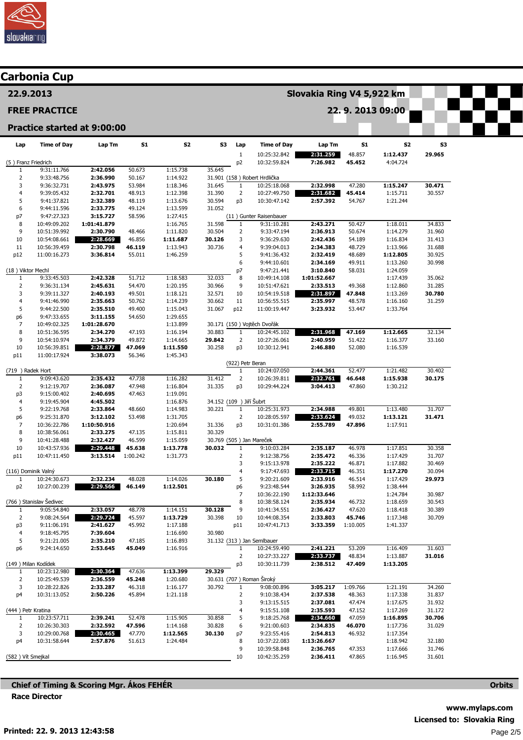

# Carbonia Cup

22.9.2013

#### FREE PRACTICE

## Practice started at 9:00:00

| Lap                  | <b>Time of Day</b>           | Lap Tm                  | 51               | S2                   | S3                       | Lap                  | <b>Time of Day</b>           | Lap Tm               | <b>S1</b>          | <b>S2</b>            | S3     |
|----------------------|------------------------------|-------------------------|------------------|----------------------|--------------------------|----------------------|------------------------------|----------------------|--------------------|----------------------|--------|
|                      |                              |                         |                  |                      |                          | $\mathbf 1$          | 10:25:32.842                 | 2:31.259             | 48.857             | 1:12.437             | 29.965 |
| (5) Franz Friedrich  |                              |                         |                  |                      |                          | $\mathsf{p2}$        | 10:32:59.824                 | 7:26.982             | 45.452             | 4:04.724             |        |
| 1                    | 9:31:11.766                  | 2:42.056                | 50.673           | 1:15.738             | 35.645                   |                      |                              |                      |                    |                      |        |
| 2                    | 9:33:48.756                  | 2:36.990                | 50.167           | 1:14.922             |                          |                      | 31.901 (158) Robert Hrdlička |                      |                    |                      |        |
| 3                    | 9:36:32.731                  | 2:43.975                | 53.984           | 1:18.346             | 31.645                   | $\mathbf{1}$         | 10:25:18.068                 | 2:32.998             | 47.280             | 1:15.247             | 30.471 |
| 4                    | 9:39:05.432                  | 2:32.701                | 48.913           | 1:12.398             | 31.390                   | 2                    | 10:27:49.750                 | 2:31.682             | 45.414             | 1:15.711             | 30.557 |
| 5<br>6               | 9:41:37.821                  | 2:32.389                | 48.119           | 1:13.676             | 30.594<br>31.052         | p3                   | 10:30:47.142                 | 2:57.392             | 54.767             | 1:21.244             |        |
| p7                   | 9:44:11.596<br>9:47:27.323   | 2:33.775<br>3:15.727    | 49.124<br>58.596 | 1:13.599<br>1:27.415 |                          |                      | (11) Gunter Raisenbauer      |                      |                    |                      |        |
| 8                    | 10:49:09.202                 | 1:01:41.879             |                  | 1:16.765             | 31.598                   | $\mathbf{1}$         | 9:31:10.281                  | 2:43.271             | 50.427             | 1:18.011             | 34.833 |
| 9                    | 10:51:39.992                 | 2:30.790                | 48.466           | 1:11.820             | 30.504                   | $\overline{2}$       | 9:33:47.194                  | 2:36.913             | 50.674             | 1:14.279             | 31.960 |
| 10                   | 10:54:08.661                 | 2:28.669                | 46.856           | 1:11.687             | 30.126                   | 3                    | 9:36:29.630                  | 2:42.436             | 54.189             | 1:16.834             | 31.413 |
| 11                   | 10:56:39.459                 | 2:30.798                | 46.119           | 1:13.943             | 30.736                   | 4                    | 9:39:04.013                  | 2:34.383             | 48.729             | 1:13.966             | 31.688 |
| p12                  | 11:00:16.273                 | 3:36.814                | 55.011           | 1:46.259             |                          | 5                    | 9:41:36.432                  | 2:32.419             | 48.689             | 1:12.805             | 30.925 |
|                      |                              |                         |                  |                      |                          | 6                    | 9:44:10.601                  | 2:34.169             | 49.911             | 1:13.260             | 30.998 |
| (18) Viktor Mechl    |                              |                         |                  |                      |                          | p7                   | 9:47:21.441                  | 3:10.840             | 58.031             | 1:24.059             |        |
| $\mathbf{1}$         | 9:33:45.503                  | 2:42.328                | 51.712           | 1:18.583             | 32.033                   | 8                    | 10:49:14.108                 | 1:01:52.667          |                    | 1:17.439             | 35.062 |
| $\overline{2}$       | 9:36:31.134                  | 2:45.631                | 54.470           | 1:20.195             | 30.966                   | 9                    | 10:51:47.621                 | 2:33.513             | 49.368             | 1:12.860             | 31.285 |
| 3                    | 9:39:11.327                  | 2:40.193                | 49.501           | 1:18.121             | 32.571                   | 10                   | 10:54:19.518                 | 2:31.897             | 47.848             | 1:13.269             | 30.780 |
| 4                    | 9:41:46.990                  | 2:35.663                | 50.762           | 1:14.239             | 30.662                   | 11                   | 10:56:55.515                 | 2:35.997             | 48.578             | 1:16.160             | 31.259 |
| 5                    | 9:44:22.500                  | 2:35.510<br>3:11.155    | 49.400           | 1:15.043             | 31.067                   | p12                  | 11:00:19.447                 | 3:23.932             | 53.447             | 1:33.764             |        |
| p6<br>7              | 9:47:33.655<br>10:49:02.325  | 1:01:28.670             | 54.650           | 1:29.655<br>1:13.899 |                          |                      | 30.171 (150) Vojtěch Dvořák  |                      |                    |                      |        |
| 8                    | 10:51:36.595                 | 2:34.270                | 47.193           | 1:16.194             | 30.883                   | 1                    | 10:24:45.102                 | 2:31.968             | 47.169             | 1:12.665             | 32.134 |
| 9                    | 10:54:10.974                 | 2:34.379                | 49.872           | 1:14.665             | 29.842                   | $\overline{2}$       | 10:27:26.061                 | 2:40.959             | 51.422             | 1:16.377             | 33.160 |
| 10                   | 10:56:39.851                 | 2:28.877                | 47.069           | 1:11.550             | 30.258                   | p3                   | 10:30:12.941                 | 2:46.880             | 52.080             | 1:16.539             |        |
| p11                  | 11:00:17.924                 | 3:38.073                | 56.346           | 1:45.343             |                          |                      |                              |                      |                    |                      |        |
|                      |                              |                         |                  |                      |                          | (922) Petr Beran     |                              |                      |                    |                      |        |
| (719 ) Radek Hort    |                              |                         |                  |                      |                          | $\mathbf{1}$         | 10:24:07.050                 | 2:44.361             | 52.477             | 1:21.482             | 30.402 |
| 1                    | 9:09:43.620                  | 2:35.432                | 47.738           | 1:16.282             | 31.412                   | $\overline{2}$       | 10:26:39.811                 | 2:32.761             | 46.648             | 1:15.938             | 30.175 |
| $\overline{2}$       | 9:12:19.707                  | 2:36.087                | 47.948           | 1:16.804             | 31.335                   | p3                   | 10:29:44.224                 | 3:04.413             | 47.860             | 1:30.212             |        |
| p3                   | 9:15:00.402                  | 2:40.695                | 47.463           | 1:19.091             |                          |                      |                              |                      |                    |                      |        |
| 4                    | 9:19:45.904                  | 4:45.502                |                  | 1:16.876             | 34.152 (109) Jiří Šubrt  |                      |                              |                      |                    |                      |        |
| 5                    | 9:22:19.768                  | 2:33.864                | 48.660           | 1:14.983             | 30.221                   | $\mathbf{1}$         | 10:25:31.973                 | 2:34.988             | 49.801             | 1:13.480             | 31.707 |
| p6                   | 9:25:31.870                  | 3:12.102                | 53.498           | 1:31.705             |                          | $\overline{2}$<br>p3 | 10:28:05.597                 | 2:33.624             | 49.032             | 1:13.121             | 31.471 |
| 7<br>8               | 10:36:22.786<br>10:38:56.061 | 1:10:50.916<br>2:33.275 | 47.135           | 1:20.694<br>1:15.811 | 31.336<br>30.329         |                      | 10:31:01.386                 | 2:55.789             | 47.896             | 1:17.911             |        |
| 9                    | 10:41:28.488                 | 2:32.427                | 46.599           | 1:15.059             | 30.769 (505) Jan Mareček |                      |                              |                      |                    |                      |        |
| 10                   | 10:43:57.936                 | 2:29.448                | 45.638           | 1:13.778             | 30.032                   | $\mathbf{1}$         | 9:10:03.284                  | 2:35.187             | 46.978             | 1:17.851             | 30.358 |
| p11                  | 10:47:11.450                 | 3:13.514                | 1:00.242         | 1:31.773             |                          | $\overline{2}$       | 9:12:38.756                  | 2:35.472             | 46.336             | 1:17.429             | 31.707 |
|                      |                              |                         |                  |                      |                          | 3                    | 9:15:13.978                  | 2:35.222             | 46.871             | 1:17.882             | 30.469 |
| (116) Dominik Valný  |                              |                         |                  |                      |                          | 4                    | 9:17:47.693                  | 2:33.715             | 46.351             | 1:17.270             | 30.094 |
| 1                    | 10:24:30.673                 | 2:32.234                | 48.028           | 1:14.026             | 30.180                   | 5                    | 9:20:21.609                  | 2:33.916             | 46.514             | 1:17.429             | 29.973 |
| p <sub>2</sub>       | 10:27:00.239                 | 2:29.566                | 46.149           | 1:12.501             |                          | p6                   | 9:23:48.544                  | 3:26.935             | 58.992             | 1:38.444             |        |
|                      |                              |                         |                  |                      |                          | 7                    | 10:36:22.190                 | 1:12:33.646          |                    | 1:24.784             | 30.987 |
|                      | (766) Stanislav Šedivec      |                         |                  |                      |                          | 8                    | 10:38:58.124                 | 2:35.934             | 46.732             | 1:18.659             | 30.543 |
| 1                    | 9:05:54.840                  | 2:33.057                | 48.778           | 1:14.151             | 30.128                   | 9                    | 10:41:34.551                 | 2:36.427             | 47.620             | 1:18.418             | 30.389 |
| $\overline{2}$<br>p3 | 9:08:24.564<br>9:11:06.191   | 2:29.724<br>2:41.627    | 45.597<br>45.992 | 1:13.729<br>1:17.188 | 30.398                   | 10<br>p11            | 10:44:08.354<br>10:47:41.713 | 2:33.803<br>3:33.359 | 45.746<br>1:10.005 | 1:17.348<br>1:41.337 | 30.709 |
| 4                    | 9:18:45.795                  | 7:39.604                |                  | 1:16.690             | 30.980                   |                      |                              |                      |                    |                      |        |
| 5                    | 9:21:21.005                  | 2:35.210                | 47.185           | 1:16.893             |                          |                      | 31.132 (313) Jan Semlbauer   |                      |                    |                      |        |
| p6                   | 9:24:14.650                  | 2:53.645                | 45.049           | 1:16.916             |                          | $\mathbf{1}$         | 10:24:59.490                 | 2:41.221             | 53.209             | 1:16.409             | 31.603 |
|                      |                              |                         |                  |                      |                          | $\overline{2}$       | 10:27:33.227                 | 2:33.737             | 48.834             | 1:13.887             | 31.016 |
|                      | (149) Milan Kodídek          |                         |                  |                      |                          | p3                   | 10:30:11.739                 | 2:38.512             | 47.409             | 1:13.205             |        |
| $\mathbf{1}$         | 10:23:12.980                 | 2:30.364                | 47.636           | 1:13.399             | 29.329                   |                      |                              |                      |                    |                      |        |
| $\overline{2}$       | 10:25:49.539                 | 2:36.559                | 45.248           | 1:20.680             |                          |                      | 30.631 (707) Roman Široký    |                      |                    |                      |        |
| 3                    | 10:28:22.826                 | 2:33.287                | 46.318           | 1:16.177             | 30.792                   | $\mathbf{1}$         | 9:08:00.896                  | 3:05.217             | 1:09.766           | 1:21.191             | 34.260 |
| p4                   | 10:31:13.052                 | 2:50.226                | 45.894           | 1:21.118             |                          | 2                    | 9:10:38.434                  | 2:37.538             | 48.363             | 1:17.338             | 31.837 |
|                      |                              |                         |                  |                      |                          | 3                    | 9:13:15.515                  | 2:37.081             | 47.474             | 1:17.675             | 31.932 |
| (444) Petr Kratina   |                              |                         |                  |                      |                          | 4                    | 9:15:51.108                  | 2:35.593             | 47.152             | 1:17.269             | 31.172 |
| $\mathbf{1}$         | 10:23:57.711                 | 2:39.241                | 52.478           | 1:15.905             | 30.858                   | 5                    | 9:18:25.768                  | 2:34.660             | 47.059             | 1:16.895             | 30.706 |
| 2<br>3               | 10:26:30.303<br>10:29:00.768 | 2:32.592<br>2:30.465    | 47.596<br>47.770 | 1:14.168<br>1:12.565 | 30.828<br>30.130         | 6<br>p7              | 9:21:00.603<br>9:23:55.416   | 2:34.835<br>2:54.813 | 46.070<br>46.932   | 1:17.736<br>1:17.354 | 31.029 |
| p4                   | 10:31:58.644                 | 2:57.876                | 51.613           | 1:24.484             |                          | 8                    | 10:37:22.083                 | 1:13:26.667          |                    | 1:18.942             | 32.180 |
|                      |                              |                         |                  |                      |                          | 9                    | 10:39:58.848                 | 2:36.765             | 47.353             | 1:17.666             | 31.746 |
| (582) Vít Smejkal    |                              |                         |                  |                      |                          | 10                   | 10:42:35.259                 | 2:36.411             | 47.865             | 1:16.945             | 31.601 |

Slovakia Ring V4 5,922 km

22. 9. 2013 09:00

Chief of Timing & Scoring Mgr. Ákos FEHÉR Race Director

**Orbits**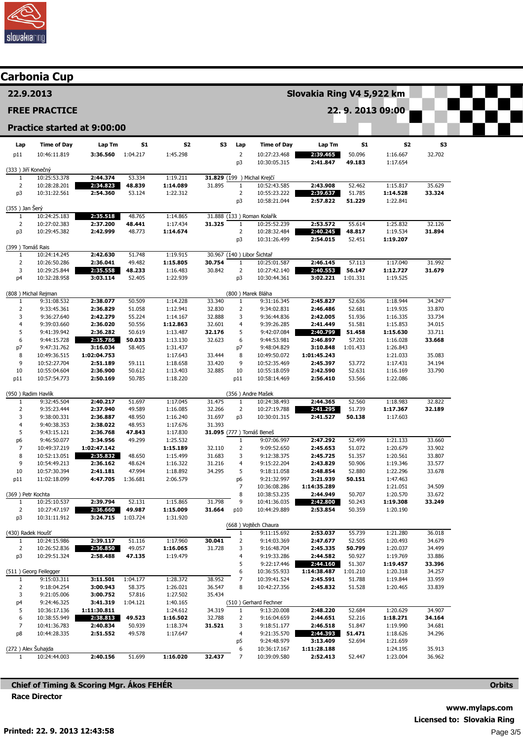

|                      | <b>Carbonia Cup</b>                |                             |                    |                      |                           |                                |                                            |                         |                  |                      |                  |  |  |  |  |
|----------------------|------------------------------------|-----------------------------|--------------------|----------------------|---------------------------|--------------------------------|--------------------------------------------|-------------------------|------------------|----------------------|------------------|--|--|--|--|
| 22.9.2013            |                                    |                             |                    |                      | Slovakia Ring V4 5,922 km |                                |                                            |                         |                  |                      |                  |  |  |  |  |
|                      | <b>FREE PRACTICE</b>               |                             |                    |                      |                           | 22.9.2013 09:00                |                                            |                         |                  |                      |                  |  |  |  |  |
|                      |                                    | Practice started at 9:00:00 |                    |                      |                           |                                |                                            |                         |                  |                      |                  |  |  |  |  |
| Lap                  | <b>Time of Day</b>                 | Lap Tm                      | 51                 | S2                   | S3                        | Lap                            | <b>Time of Day</b>                         | Lap Tm                  | S1               | 52                   | S3               |  |  |  |  |
| p11                  | 10:46:11.819                       | 3:36.560                    | 1:04.217           | 1:45.298             |                           | $\overline{2}$                 | 10:27:23.468                               | 2:39.465                | 50.096           | 1:16.667             | 32.702           |  |  |  |  |
| (333) Jiří Konečný   |                                    |                             |                    |                      |                           | p <sub>3</sub>                 | 10:30:05.315                               | 2:41.847                | 49.183           | 1:17.654             |                  |  |  |  |  |
| 1                    | 10:25:53.378                       | 2:44.374                    | 53.334             | 1:19.211             |                           |                                | 31.829 (199 ) Michal Krejčí                |                         |                  |                      |                  |  |  |  |  |
| $\overline{2}$       | 10:28:28.201                       | 2:34.823                    | 48.839             | 1:14.089             | 31.895                    | $\mathbf{1}$                   | 10:52:43.585                               | 2:43.908                | 52.462           | 1:15.817             | 35.629           |  |  |  |  |
| p3                   | 10:31:22.561                       | 2:54.360                    | 53.124             | 1:22.312             |                           | $\overline{2}$<br>p3           | 10:55:23.222<br>10:58:21.044               | 2:39.637<br>2:57.822    | 51.785<br>51.229 | 1:14.528<br>1:22.841 | 33.324           |  |  |  |  |
| (355) Jan Šerý       |                                    |                             |                    |                      |                           |                                |                                            |                         |                  |                      |                  |  |  |  |  |
| 1                    | 10:24:25.183                       | 2:35.518                    | 48.765             | 1:14.865             |                           |                                | 31.888 (133) Roman Kolařík                 |                         |                  |                      |                  |  |  |  |  |
| $\overline{2}$<br>p3 | 10:27:02.383<br>10:29:45.382       | 2:37.200<br>2:42.999        | 48.441<br>48.773   | 1:17.434<br>1:14.674 | 31.325                    | $\mathbf{1}$<br>$\overline{2}$ | 10:25:52.239<br>10:28:32.484               | 2:53.572<br>2:40.245    | 55.614<br>48.817 | 1:25.832<br>1:19.534 | 32.126<br>31.894 |  |  |  |  |
|                      |                                    |                             |                    |                      |                           | p3                             | 10:31:26.499                               | 2:54.015                | 52.451           | 1:19.207             |                  |  |  |  |  |
| (399) Tomáš Rais     |                                    |                             |                    |                      |                           |                                |                                            |                         |                  |                      |                  |  |  |  |  |
| 1<br>$\overline{2}$  | 10:24:14.245<br>10:26:50.286       | 2:42.630<br>2:36.041        | 51.748<br>49.482   | 1:19.915<br>1:15.805 | 30.754                    | 1                              | 30.967 (140) Libor Šichtař<br>10:25:01.587 | 2:46.145                | 57.113           | 1:17.040             | 31.992           |  |  |  |  |
| 3                    | 10:29:25.844                       | 2:35.558                    | 48.233             | 1:16.483             | 30.842                    | $\overline{2}$                 | 10:27:42.140                               | 2:40.553                | 56.147           | 1:12.727             | 31.679           |  |  |  |  |
| p4                   | 10:32:28.958                       | 3:03.114                    | 52.405             | 1:22.939             |                           | p3                             | 10:30:44.361                               | 3:02.221                | 1:01.331         | 1:19.525             |                  |  |  |  |  |
|                      |                                    |                             |                    |                      |                           |                                |                                            |                         |                  |                      |                  |  |  |  |  |
| 1                    | (808) Michal Rejman<br>9:31:08.532 | 2:38.077                    | 50.509             | 1:14.228             | 33.340                    | $\mathbf{1}$                   | (800) Marek Bláha<br>9:31:16.345           | 2:45.827                | 52.636           | 1:18.944             | 34.247           |  |  |  |  |
| $\overline{2}$       | 9:33:45.361                        | 2:36.829                    | 51.058             | 1:12.941             | 32.830                    | 2                              | 9:34:02.831                                | 2:46.486                | 52.681           | 1:19.935             | 33.870           |  |  |  |  |
| 3                    | 9:36:27.640                        | 2:42.279                    | 55.224             | 1:14.167             | 32.888                    | 3                              | 9:36:44.836                                | 2:42.005                | 51.936           | 1:16.335             | 33.734           |  |  |  |  |
| $\overline{4}$       | 9:39:03.660                        | 2:36.020                    | 50.556             | 1:12.863             | 32.601                    | 4                              | 9:39:26.285                                | 2:41.449                | 51.581           | 1:15.853             | 34.015           |  |  |  |  |
| 5<br>6               | 9:41:39.942<br>9:44:15.728         | 2:36.282<br>2:35.786        | 50.619<br>50.033   | 1:13.487<br>1:13.130 | 32.176<br>32.623          | 5<br>6                         | 9:42:07.084<br>9:44:53.981                 | 2:40.799<br>2:46.897    | 51.458<br>57.201 | 1:15.630<br>1:16.028 | 33.711<br>33.668 |  |  |  |  |
| p7                   | 9:47:31.762                        | 3:16.034                    | 58.405             | 1:31.437             |                           | p7                             | 9:48:04.829                                | 3:10.848                | 1:01.433         | 1:26.843             |                  |  |  |  |  |
| 8                    | 10:49:36.515                       | 1:02:04.753                 |                    | 1:17.643             | 33.444                    | 8                              | 10:49:50.072                               | 1:01:45.243             |                  | 1:21.033             | 35.083           |  |  |  |  |
| 9                    | 10:52:27.704                       | 2:51.189                    | 59.111             | 1:18.658             | 33.420                    | 9                              | 10:52:35.469                               | 2:45.397                | 53.772           | 1:17.431             | 34.194           |  |  |  |  |
| 10<br>p11            | 10:55:04.604<br>10:57:54.773       | 2:36.900<br>2:50.169        | 50.612<br>50.785   | 1:13.403<br>1:18.220 | 32.885                    | 10<br>p11                      | 10:55:18.059<br>10:58:14.469               | 2:42.590<br>2:56.410    | 52.631<br>53.566 | 1:16.169<br>1:22.086 | 33.790           |  |  |  |  |
|                      |                                    |                             |                    |                      |                           |                                |                                            |                         |                  |                      |                  |  |  |  |  |
| (950) Radim Havlík   |                                    |                             |                    |                      |                           |                                | (356) Andre Mašek                          |                         |                  |                      |                  |  |  |  |  |
| 1<br>$\overline{2}$  | 9:32:45.504<br>9:35:23.444         | 2:40.217<br>2:37.940        | 51.697<br>49.589   | 1:17.045<br>1:16.085 | 31.475<br>32.266          | 1<br>2                         | 10:24:38.493<br>10:27:19.788               | 2:44.365<br>2:41.295    | 52.560<br>51.739 | 1:18.983<br>1:17.367 | 32.822<br>32.189 |  |  |  |  |
| 3                    | 9:38:00.331                        | 2:36.887                    | 48.950             | 1:16.240             | 31.697                    | p3                             | 10:30:01.315                               | 2:41.527                | 50.138           | 1:17.603             |                  |  |  |  |  |
| $\overline{4}$       | 9:40:38.353                        | 2:38.022                    | 48.953             | 1:17.676             | 31.393                    |                                |                                            |                         |                  |                      |                  |  |  |  |  |
| 5                    | 9:43:15.121                        | 2:36.768                    | 47.843             | 1:17.830             |                           |                                | 31.095 (777) Tomáš Beneš                   |                         |                  |                      |                  |  |  |  |  |
| p6<br>$\overline{7}$ | 9:46:50.077<br>10:49:37.219        | 3:34.956<br>1:02:47.142     | 49.299             | 1:25.532<br>1:15.189 | 32.110                    | 1<br>$\overline{2}$            | 9:07:06.997<br>9:09:52.650                 | 2:47.292<br>2:45.653    | 52.499<br>51.072 | 1:21.133<br>1:20.679 | 33.660<br>33.902 |  |  |  |  |
| 8                    | 10:52:13.051                       | 2:35.832                    | 48.650             | 1:15.499             | 31.683                    | 3                              | 9:12:38.375                                | 2:45.725                | 51.357           | 1:20.561             | 33.807           |  |  |  |  |
| q                    | 10:54:49.213                       | 2:36.162                    | 48.624             | 1:16.322             | 31.216                    | 4                              | 9:15:22.204                                | 2:43.829                | 50.906           | 1:19.346             | 33.577           |  |  |  |  |
| 10                   | 10:57:30.394                       | 2:41.181                    | 47.994             | 1:18.892             | 34.295                    | 5                              | 9:18:11.058                                | 2:48.854                | 52.880           | 1:22.296             | 33.678           |  |  |  |  |
| p11                  | 11:02:18.099                       | 4:47.705                    | 1:36.681           | 2:06.579             |                           | p6<br>7                        | 9:21:32.997<br>10:36:08.286                | 3:21.939<br>1:14:35.289 | 50.151           | 1:47.463<br>1:21.051 | 34.509           |  |  |  |  |
| (369) Petr Kochta    |                                    |                             |                    |                      |                           | 8                              | 10:38:53.235                               | 2:44.949                | 50.707           | 1:20.570             | 33.672           |  |  |  |  |
| 1                    | 10:25:10.537                       | 2:39.794                    | 52.131             | 1:15.865             | 31.798                    | 9                              | 10:41:36.035                               | 2:42.800                | 50.243           | 1:19.308             | 33.249           |  |  |  |  |
| $\overline{2}$<br>p3 | 10:27:47.197<br>10:31:11.912       | 2:36.660<br>3:24.715        | 49.987<br>1:03.724 | 1:15.009<br>1:31.920 | 31.664                    | p10                            | 10:44:29.889                               | 2:53.854                | 50.359           | 1:20.190             |                  |  |  |  |  |
|                      |                                    |                             |                    |                      |                           |                                | (668) Vojtěch Chaura                       |                         |                  |                      |                  |  |  |  |  |
| (430) Radek Houšť    |                                    |                             |                    |                      |                           | 1                              | 9:11:15.692                                | 2:53.037                | 55.739           | 1:21.280             | 36.018           |  |  |  |  |
| 1                    | 10:24:15.986                       | 2:39.117                    | 51.116             | 1:17.960             | 30.041                    | $\overline{2}$                 | 9:14:03.369                                | 2:47.677                | 52.505           | 1:20.493             | 34.679           |  |  |  |  |
| $\overline{2}$<br>p3 | 10:26:52.836<br>10:29:51.324       | 2:36.850<br>2:58.488        | 49.057<br>47.135   | 1:16.065<br>1:19.479 | 31.728                    | 3<br>4                         | 9:16:48.704<br>9:19:33.286                 | 2:45.335<br>2:44.582    | 50.799<br>50.927 | 1:20.037<br>1:19.769 | 34.499<br>33.886 |  |  |  |  |
|                      |                                    |                             |                    |                      |                           | 5                              | 9:22:17.446                                | 2:44.160                | 51.307           | 1:19.457             | 33.396           |  |  |  |  |
|                      | (511) Georg Feilegger              |                             |                    |                      |                           | 6                              | 10:36:55.933                               | 1:14:38.487             | 1:01.210         | 1:20.318             | 34.257           |  |  |  |  |
| 1<br>$\overline{2}$  | 9:15:03.311<br>9:18:04.254         | 3:11.501<br>3:00.943        | 1:04.177<br>58.375 | 1:28.372<br>1:26.021 | 38.952<br>36.547          | 7<br>8                         | 10:39:41.524<br>10:42:27.356               | 2:45.591<br>2:45.832    | 51.788<br>51.528 | 1:19.844<br>1:20.465 | 33.959<br>33.839 |  |  |  |  |
| 3                    | 9:21:05.006                        | 3:00.752                    | 57.816             | 1:27.502             | 35.434                    |                                |                                            |                         |                  |                      |                  |  |  |  |  |
| p4                   | 9:24:46.325                        | 3:41.319                    | 1:04.121           | 1:40.165             |                           |                                | (510) Gerhard Fechner                      |                         |                  |                      |                  |  |  |  |  |
| 5                    | 10:36:17.136                       | 1:11:30.811                 |                    | 1:24.612             | 34.319                    | $\mathbf{1}$                   | 9:13:20.008                                | 2:48.220                | 52.684           | 1:20.629             | 34.907           |  |  |  |  |
| 6<br>$\overline{7}$  | 10:38:55.949                       | 2:38.813                    | 49.523             | 1:16.502             | 32.788                    | $\overline{2}$<br>3            | 9:16:04.659                                | 2:44.651                | 52.216           | 1:18.271             | 34.164           |  |  |  |  |
| p8                   | 10:41:36.783<br>10:44:28.335       | 2:40.834<br>2:51.552        | 50.939<br>49.578   | 1:18.374<br>1:17.647 | 31.521                    | 4                              | 9:18:51.177<br>9:21:35.570                 | 2:46.518<br>2:44.393    | 51.847<br>51.471 | 1:19.990<br>1:18.626 | 34.681<br>34.296 |  |  |  |  |
|                      |                                    |                             |                    |                      |                           | p5                             | 9:24:48.979                                | 3:13.409                | 52.694           | 1:21.659             |                  |  |  |  |  |
| (272) Alex Šuhajda   |                                    |                             |                    |                      |                           | 6                              | 10:36:17.167                               | 1:11:28.188             |                  | 1:24.195             | 35.913           |  |  |  |  |
| $\mathbf{1}$         | 10:24:44.003                       | 2:40.156                    | 51.699             | 1:16.020             | 32.437                    | 7                              | 10:39:09.580                               | 2:52.413                | 52.447           | 1:23.004             | 36.962           |  |  |  |  |

Chief of Timing & Scoring Mgr. Ákos FEHÉR Race Director

www.mylaps.com Licensed to: Slovakia Ring Page 3/5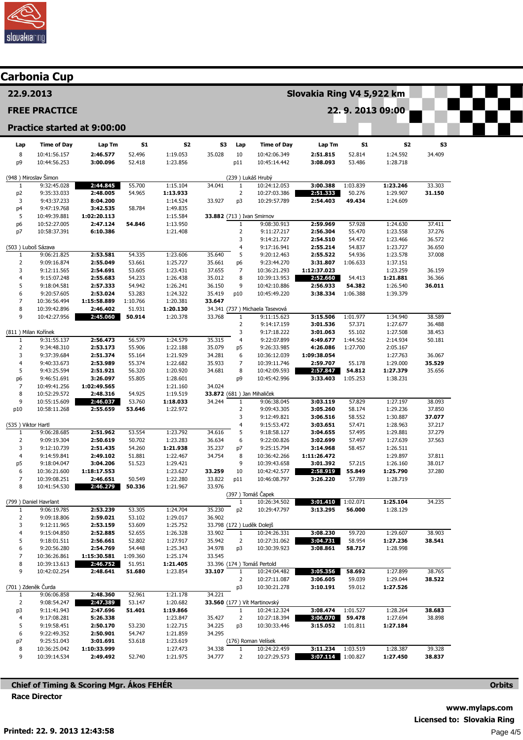

# Carbonia Cup

22.9.2013

#### FREE PRACTICE

## Practice started at 9:00:00

| Lap                 | <b>Time of Day</b>           | Lap Tm                  | S1                 | S2                   | S3                         | Lap                  | <b>Time of Day</b>                  | Lap Tm               | S1                 | S2                   | S3               |
|---------------------|------------------------------|-------------------------|--------------------|----------------------|----------------------------|----------------------|-------------------------------------|----------------------|--------------------|----------------------|------------------|
| 8                   | 10:41:56.157                 | 2:46.577                | 52.496             | 1:19.053             | 35.028                     | 10                   | 10:42:06.349                        | 2:51.815             | 52.814             | 1:24.592             | 34.409           |
| p9                  | 10:44:56.253                 | 3:00.096                | 52.418             | 1:23.856             |                            | p11                  | 10:45:14.442                        | 3:08.093             | 53.486             | 1:28.718             |                  |
|                     |                              |                         |                    |                      |                            |                      |                                     |                      |                    |                      |                  |
|                     | (948) Miroslav Šimon         |                         |                    |                      |                            |                      | (239) Lukáš Hrubý                   |                      |                    |                      |                  |
| $\mathbf{1}$        | 9:32:45.028                  | 2:44.845                | 55.700             | 1:15.104             | 34.041                     | $\mathbf{1}$         | 10:24:12.053                        | 3:00.388             | 1:03.839           | 1:23.246             | 33.303           |
| p <sub>2</sub><br>3 | 9:35:33.033<br>9:43:37.233   | 2:48.005<br>8:04.200    | 54.965             | 1:13.933<br>1:14.524 | 33.927                     | $\overline{2}$<br>p3 | 10:27:03.386<br>10:29:57.789        | 2:51.333<br>2:54.403 | 50.276<br>49.434   | 1:29.907<br>1:24.609 | 31.150           |
| p4                  | 9:47:19.768                  | 3:42.535                | 58.784             | 1:49.835             |                            |                      |                                     |                      |                    |                      |                  |
| 5                   | 10:49:39.881                 | 1:02:20.113             |                    | 1:15.584             | 33.882 (713) Ivan Smirnov  |                      |                                     |                      |                    |                      |                  |
| p <sub>6</sub>      | 10:52:27.005                 | 2:47.124                | 54.846             | 1:13.950             |                            | 1                    | 9:08:30.913                         | 2:59.969             | 57.928             | 1:24.630             | 37.411           |
| p7                  | 10:58:37.391                 | 6:10.386                |                    | 1:21.408             |                            | $\overline{2}$       | 9:11:27.217                         | 2:56.304             | 55.470             | 1:23.558             | 37.276           |
|                     |                              |                         |                    |                      |                            | 3                    | 9:14:21.727                         | 2:54.510             | 54.472             | 1:23.466             | 36.572           |
| (503) Luboš Sázava  |                              |                         |                    |                      |                            | 4                    | 9:17:16.941                         | 2:55.214             | 54.837             | 1:23.727             | 36.650           |
| $\mathbf{1}$        | 9:06:21.825                  | 2:53.581                | 54.335             | 1:23.606             | 35.640                     | 5                    | 9:20:12.463                         | 2:55.522             | 54.936             | 1:23.578             | 37.008           |
| $\overline{2}$      | 9:09:16.874                  | 2:55.049                | 53.661             | 1:25.727             | 35.661                     | p6                   | 9:23:44.270                         | 3:31.807             | 1:06.633           | 1:37.151             |                  |
| 3                   | 9:12:11.565                  | 2:54.691                | 53.605             | 1:23.431             | 37.655                     | 7                    | 10:36:21.293                        | 1:12:37.023          |                    | 1:23.259             | 36.159           |
| 4                   | 9:15:07.248                  | 2:55.683                | 54.233             | 1:26.438             | 35.012                     | 8                    | 10:39:13.953                        | 2:52.660             | 54.413             | 1:21.881             | 36.366           |
| 5<br>6              | 9:18:04.581<br>9:20:57.605   | 2:57.333<br>2:53.024    | 54.942<br>53.283   | 1:26.241<br>1:24.322 | 36.150<br>35.419           | 9<br>p10             | 10:42:10.886<br>10:45:49.220        | 2:56.933<br>3:38.334 | 54.382<br>1:06.388 | 1:26.540<br>1:39.379 | 36.011           |
| $\overline{7}$      | 10:36:56.494                 | 1:15:58.889             | 1:10.766           | 1:20.381             | 33.647                     |                      |                                     |                      |                    |                      |                  |
| 8                   | 10:39:42.896                 | 2:46.402                | 51.931             | 1:20.130             |                            |                      | 34.341 (737) Michaela Tasevová      |                      |                    |                      |                  |
| 9                   | 10:42:27.956                 | 2:45.060                | 50.914             | 1:20.378             | 33.768                     | $\mathbf{1}$         | 9:11:15.623                         | 3:15.506             | 1:01.977           | 1:34.940             | 38.589           |
|                     |                              |                         |                    |                      |                            | $\overline{2}$       | 9:14:17.159                         | 3:01.536             | 57.371             | 1:27.677             | 36.488           |
| (811) Milan Kořínek |                              |                         |                    |                      |                            | 3                    | 9:17:18.222                         | 3:01.063             | 55.102             | 1:27.508             | 38.453           |
| $\mathbf{1}$        | 9:31:55.137                  | 2:56.473                | 56.579             | 1:24.579             | 35.315                     | 4                    | 9:22:07.899                         | 4:49.677             | 1:44.562           | 2:14.934             | 50.181           |
| $\overline{2}$      | 9:34:48.310                  | 2:53.173                | 55.906             | 1:22.188             | 35.079                     | p5                   | 9:26:33.985                         | 4:26.086             | 1:27.700           | 2:05.167             |                  |
| 3                   | 9:37:39.684                  | 2:51.374                | 55.164             | 1:21.929             | 34.281                     | 6                    | 10:36:12.039                        | 1:09:38.054          |                    | 1:27.763             | 36.067           |
| 4                   | 9:40:33.673                  | 2:53.989                | 55.374             | 1:22.682             | 35.933                     | 7                    | 10:39:11.746                        | 2:59.707             | 55.178             | 1:29.000             | 35.529           |
| 5                   | 9:43:25.594                  | 2:51.921                | 56.320             | 1:20.920             | 34.681                     | 8                    | 10:42:09.593                        | 2:57.847             | 54.812             | 1:27.379             | 35.656           |
| p6                  | 9:46:51.691                  | 3:26.097                | 55.805             | 1:28.601             | 34.024                     | p9                   | 10:45:42.996                        | 3:33.403             | 1:05.253           | 1:38.231             |                  |
| 7<br>8              | 10:49:41.256<br>10:52:29.572 | 1:02:49.565<br>2:48.316 | 54.925             | 1:21.160<br>1:19.519 | 33.872 (681) Jan Mihaliček |                      |                                     |                      |                    |                      |                  |
| 9                   | 10:55:15.609                 | 2:46.037                | 53.760             | 1:18.033             | 34.244                     | $1\,$                | 9:06:38.045                         | 3:03.119             | 57.829             | 1:27.197             | 38.093           |
| p10                 | 10:58:11.268                 | 2:55.659                | 53.646             | 1:22.972             |                            | $\overline{2}$       | 9:09:43.305                         | 3:05.260             | 58.174             | 1:29.236             | 37.850           |
|                     |                              |                         |                    |                      |                            | 3                    | 9:12:49.821                         | 3:06.516             | 58.552             | 1:30.887             | 37.077           |
| (535) Viktor Hartl  |                              |                         |                    |                      |                            | 4                    | 9:15:53.472                         | 3:03.651             | 57.471             | 1:28.963             | 37.217           |
| $\mathbf{1}$        | 9:06:28.685                  | 2:51.962                | 53.554             | 1:23.792             | 34.616                     | 5                    | 9:18:58.127                         | 3:04.655             | 57.495             | 1:29.881             | 37.279           |
| 2                   | 9:09:19.304                  | 2:50.619                | 50.702             | 1:23.283             | 36.634                     | 6                    | 9:22:00.826                         | 3:02.699             | 57.497             | 1:27.639             | 37.563           |
| 3                   | 9:12:10.739                  | 2:51.435                | 54.260             | 1:21.938             | 35.237                     | p7                   | 9:25:15.794                         | 3:14.968             | 58.457             | 1:26.511             |                  |
| 4                   | 9:14:59.841                  | 2:49.102                | 51.881             | 1:22.467             | 34.754                     | 8                    | 10:36:42.266                        | 1:11:26.472          |                    | 1:29.897             | 37.811           |
| p5                  | 9:18:04.047                  | 3:04.206                | 51.523             | 1:29.421             |                            | 9                    | 10:39:43.658                        | 3:01.392             | 57.215<br>55.849   | 1:26.160             | 38.017           |
| 6<br>7              | 10:36:21.600<br>10:39:08.251 | 1:18:17.553<br>2:46.651 | 50.549             | 1:23.627<br>1:22.280 | 33.259<br>33.822           | 10<br>p11            | 10:42:42.577<br>10:46:08.797        | 2:58.919<br>3:26.220 | 57.789             | 1:25.790<br>1:28.719 | 37.280           |
| 8                   | 10:41:54.530                 | 2:46.279                | 50.336             | 1:21.967             | 33.976                     |                      |                                     |                      |                    |                      |                  |
|                     |                              |                         |                    |                      |                            |                      | (397) Tomáš Čapek                   |                      |                    |                      |                  |
|                     | (799 ) Daniel Havrlant       |                         |                    |                      |                            | $\mathbf{1}$         | 10:26:34.502                        | 3:01.410             | 1:02.071           | 1:25.104             | 34.235           |
| 1                   | 9:06:19.785                  | 2:53.239                | 53.305             | 1:24.704             | 35.230                     | p <sub>2</sub>       | 10:29:47.797                        | 3:13.295             | 56.000             | 1:28.129             |                  |
| 2                   | 9:09:18.806                  | 2:59.021                | 53.102             | 1:29.017             | 36.902                     |                      |                                     |                      |                    |                      |                  |
| 3                   | 9:12:11.965                  | 2:53.159                | 53.609             | 1:25.752             | 33.798 (172) Luděk Dolejš  |                      |                                     |                      |                    |                      |                  |
|                     | 9:15:04.850                  | 2:52.885                | 52.655             | 1:26.328             | 33.902                     | $\mathbf{1}$         | 10:24:26.331                        | 3:08.230             | 59.720             | 1:29.607             | 38.903           |
| 5                   | 9:18:01.511                  | 2:56.661                | 52.802             | 1:27.917             | 35.942                     | 2                    | 10:27:31.062                        | 3:04.731             | 58.954             | 1:27.236             | 38.541           |
| 6<br>7              | 9:20:56.280                  | 2:54.769<br>1:15:30.581 | 54.448             | 1:25.343             | 34.978<br>33.545           | p3                   | 10:30:39.923                        | 3:08.861             | 58.717             | 1:28.998             |                  |
| 8                   | 10:36:26.861<br>10:39:13.613 | 2:46.752                | 1:09.360<br>51.951 | 1:25.174<br>1:21.405 |                            |                      | 33.396 (174) Tomáš Pertold          |                      |                    |                      |                  |
| 9                   | 10:42:02.254                 | 2:48.641                | 51.680             | 1:23.854             | 33.107                     | $\mathbf{1}$         | 10:24:04.482                        | 3:05.356             | 58.692             | 1:27.899             | 38.765           |
|                     |                              |                         |                    |                      |                            | 2                    | 10:27:11.087                        | 3:06.605             | 59.039             | 1:29.044             | 38.522           |
|                     | (701) Zdeněk Čurda           |                         |                    |                      |                            | p3                   | 10:30:21.278                        | 3:10.191             | 59.012             | 1:27.526             |                  |
| $\mathbf{1}$        | 9:06:06.858                  | 2:48.360                | 52.961             | 1:21.178             | 34.221                     |                      |                                     |                      |                    |                      |                  |
| $\overline{2}$      | 9:08:54.247                  | 2:47.389                | 53.147             | 1:20.682             |                            |                      | <b>33.560</b> (177) Vít Martinovský |                      |                    |                      |                  |
| p3                  | 9:11:41.943                  | 2:47.696                | 51.401             | 1:19.866             |                            | $\mathbf{1}$         | 10:24:12.324                        | 3:08.474             | 1:01.527           | 1:28.264             | 38.683           |
| 4                   | 9:17:08.281                  | 5:26.338                |                    | 1:23.847             | 35.427                     | $\overline{2}$       | 10:27:18.394                        | 3:06.070 59.478      |                    | 1:27.694             | 38.898           |
| 5                   | 9:19:58.451                  | 2:50.170                | 53.230             | 1:22.715             | 34.225                     | p3                   | 10:30:33.446                        | 3:15.052 1:01.811    |                    | 1:27.184             |                  |
| 6                   | 9:22:49.352                  | 2:50.901                | 54.747             | 1:21.859             | 34.295                     |                      |                                     |                      |                    |                      |                  |
| p7                  | 9:25:51.043                  | 3:01.691                | 53.618             | 1:23.619             |                            |                      | (176) Roman Velísek<br>10:24:22.459 | 3:11.234             | 1:03.519           | 1:28.387             |                  |
| 8<br>9              | 10:36:25.042<br>10:39:14.534 | 1:10:33.999<br>2:49.492 | 52.740             | 1:27.473<br>1:21.975 | 34.338<br>34.777           | $\mathbf{1}$<br>2    | 10:27:29.573                        | 3:07.114 1:00.827    |                    | 1:27.450             | 39.328<br>38.837 |
|                     |                              |                         |                    |                      |                            |                      |                                     |                      |                    |                      |                  |

Slovakia Ring V4 5,922 km

22. 9. 2013 09:00

Chief of Timing & Scoring Mgr. Ákos FEHÉR Race Director

**Orbits**